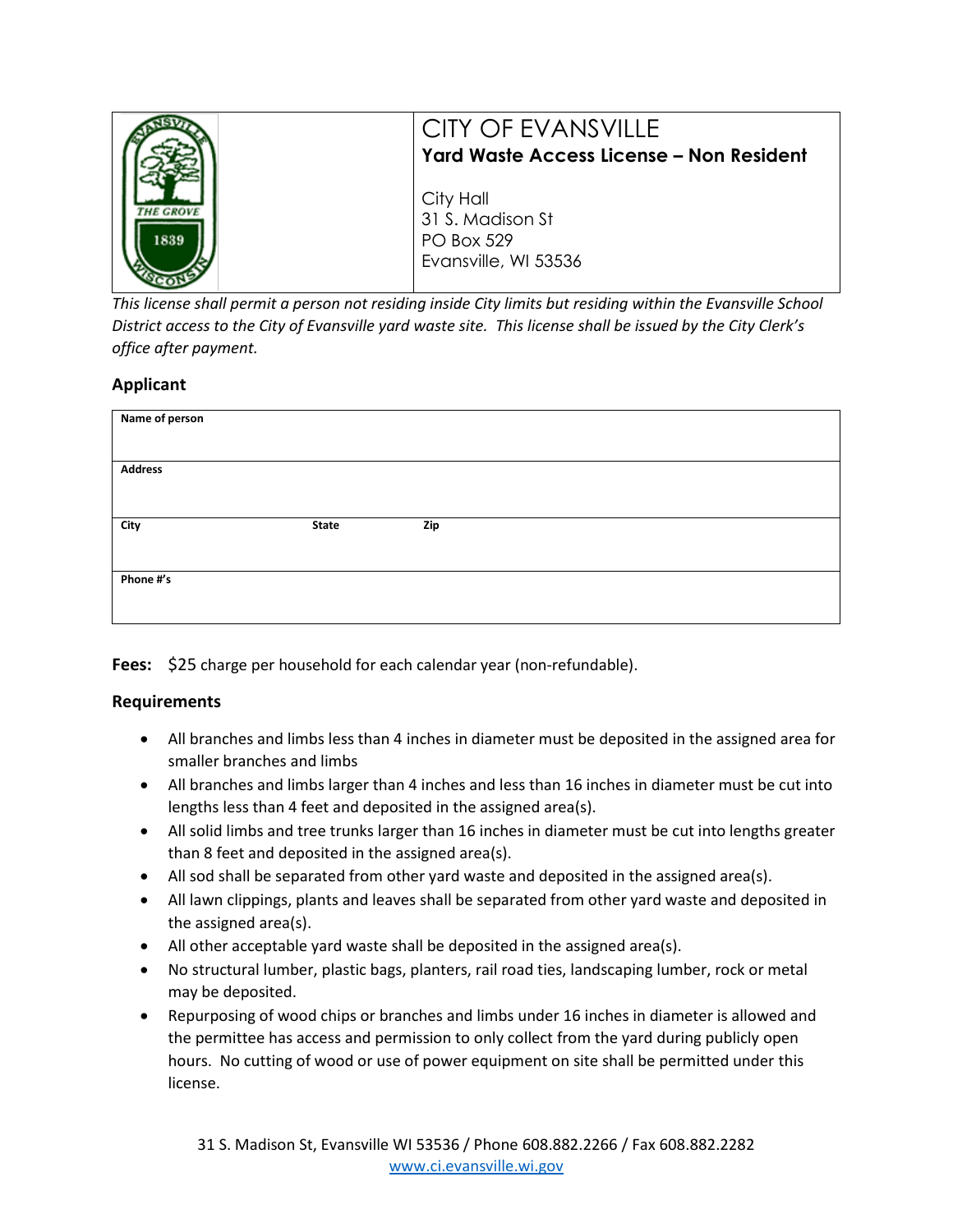|      | CITY OF EVANSVILLE<br>Yard Waste Access License - Non Resident             |
|------|----------------------------------------------------------------------------|
| 1839 | City Hall<br>31 S. Madison St<br><b>PO Box 529</b><br>Evansville, WI 53536 |

*This license shall permit a person not residing inside City limits but residing within the Evansville School District access to the City of Evansville yard waste site. This license shall be issued by the City Clerk's office after payment.* 

## **Applicant**

| Name of person |       |     |  |  |
|----------------|-------|-----|--|--|
| <b>Address</b> |       |     |  |  |
| City           | State | Zip |  |  |
| Phone #'s      |       |     |  |  |

Fees: \$25 charge per household for each calendar year (non-refundable).

## **Requirements**

- All branches and limbs less than 4 inches in diameter must be deposited in the assigned area for smaller branches and limbs
- All branches and limbs larger than 4 inches and less than 16 inches in diameter must be cut into lengths less than 4 feet and deposited in the assigned area(s).
- All solid limbs and tree trunks larger than 16 inches in diameter must be cut into lengths greater than 8 feet and deposited in the assigned area(s).
- All sod shall be separated from other yard waste and deposited in the assigned area(s).
- All lawn clippings, plants and leaves shall be separated from other yard waste and deposited in the assigned area(s).
- All other acceptable yard waste shall be deposited in the assigned area(s).
- No structural lumber, plastic bags, planters, rail road ties, landscaping lumber, rock or metal may be deposited.
- Repurposing of wood chips or branches and limbs under 16 inches in diameter is allowed and the permittee has access and permission to only collect from the yard during publicly open hours. No cutting of wood or use of power equipment on site shall be permitted under this license.